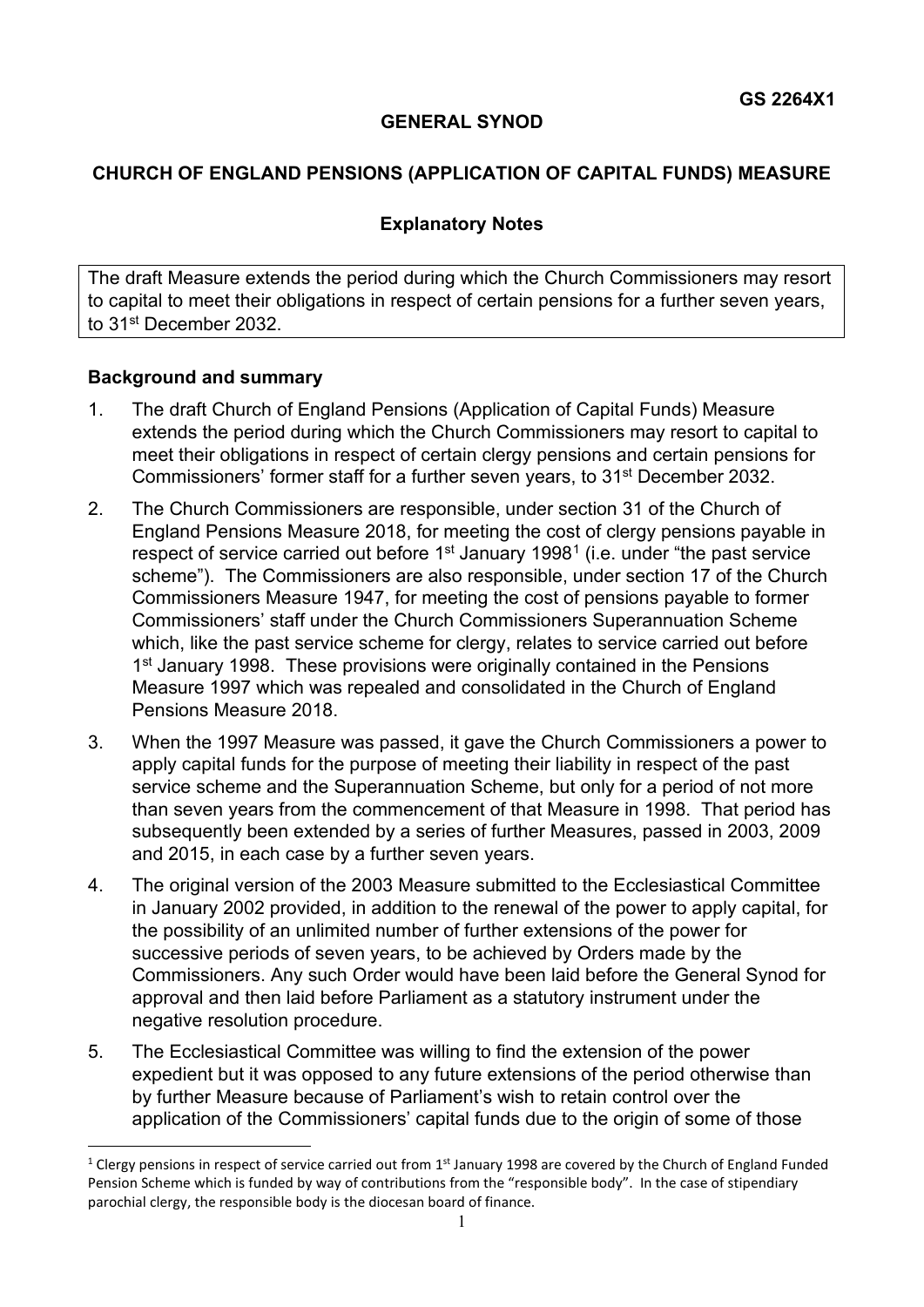### **GENERAL SYNOD**

## **CHURCH OF ENGLAND PENSIONS (APPLICATION OF CAPITAL FUNDS) MEASURE**

### **Explanatory Notes**

The draft Measure extends the period during which the Church Commissioners may resort to capital to meet their obligations in respect of certain pensions for a further seven years, to 31<sup>st</sup> December 2032.

### **Background and summary**

- 1. The draft Church of England Pensions (Application of Capital Funds) Measure extends the period during which the Church Commissioners may resort to capital to meet their obligations in respect of certain clergy pensions and certain pensions for Commissioners' former staff for a further seven years, to 31<sup>st</sup> December 2032.
- 2. The Church Commissioners are responsible, under section 31 of the Church of England Pensions Measure 2018, for meeting the cost of clergy pensions payable in respect of service carried out before  $1<sup>st</sup>$  $1<sup>st</sup>$  January 1998<sup>1</sup> (i.e. under "the past service scheme"). The Commissioners are also responsible, under section 17 of the Church Commissioners Measure 1947, for meeting the cost of pensions payable to former Commissioners' staff under the Church Commissioners Superannuation Scheme which, like the past service scheme for clergy, relates to service carried out before 1<sup>st</sup> January 1998. These provisions were originally contained in the Pensions Measure 1997 which was repealed and consolidated in the Church of England Pensions Measure 2018.
- 3. When the 1997 Measure was passed, it gave the Church Commissioners a power to apply capital funds for the purpose of meeting their liability in respect of the past service scheme and the Superannuation Scheme, but only for a period of not more than seven years from the commencement of that Measure in 1998. That period has subsequently been extended by a series of further Measures, passed in 2003, 2009 and 2015, in each case by a further seven years.
- 4. The original version of the 2003 Measure submitted to the Ecclesiastical Committee in January 2002 provided, in addition to the renewal of the power to apply capital, for the possibility of an unlimited number of further extensions of the power for successive periods of seven years, to be achieved by Orders made by the Commissioners. Any such Order would have been laid before the General Synod for approval and then laid before Parliament as a statutory instrument under the negative resolution procedure.
- 5. The Ecclesiastical Committee was willing to find the extension of the power expedient but it was opposed to any future extensions of the period otherwise than by further Measure because of Parliament's wish to retain control over the application of the Commissioners' capital funds due to the origin of some of those

<span id="page-0-0"></span><sup>&</sup>lt;sup>1</sup> Clergy pensions in respect of service carried out from 1<sup>st</sup> January 1998 are covered by the Church of England Funded Pension Scheme which is funded by way of contributions from the "responsible body". In the case of stipendiary parochial clergy, the responsible body is the diocesan board of finance.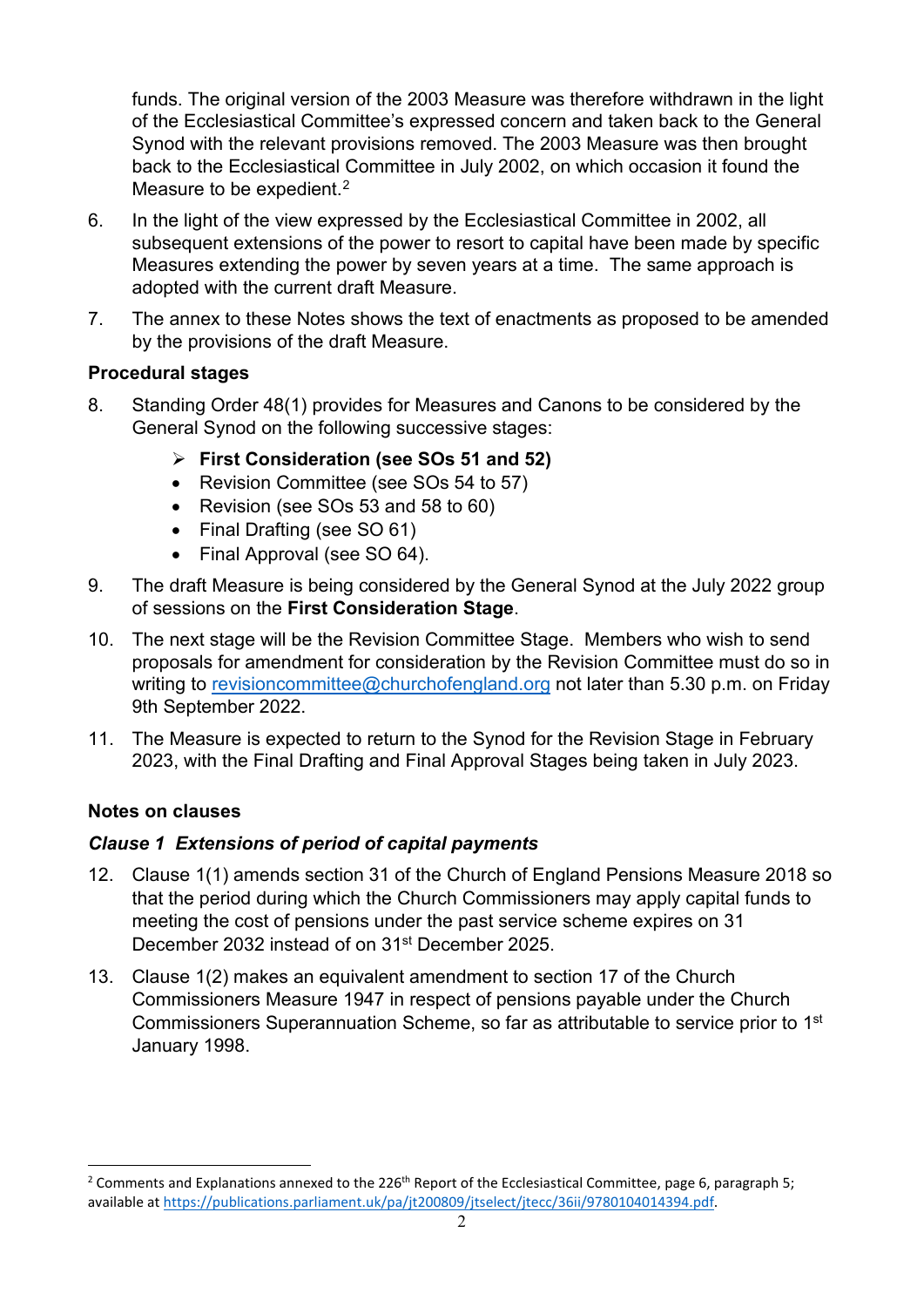funds. The original version of the 2003 Measure was therefore withdrawn in the light of the Ecclesiastical Committee's expressed concern and taken back to the General Synod with the relevant provisions removed. The 2003 Measure was then brought back to the Ecclesiastical Committee in July 2002, on which occasion it found the Measure to be expedient.<sup>[2](#page-1-0)</sup>

- 6. In the light of the view expressed by the Ecclesiastical Committee in 2002, all subsequent extensions of the power to resort to capital have been made by specific Measures extending the power by seven years at a time. The same approach is adopted with the current draft Measure.
- 7. The annex to these Notes shows the text of enactments as proposed to be amended by the provisions of the draft Measure.

## **Procedural stages**

- 8. Standing Order 48(1) provides for Measures and Canons to be considered by the General Synod on the following successive stages:
	- **First Consideration (see SOs 51 and 52)**
	- Revision Committee (see SOs 54 to 57)
	- Revision (see SOs 53 and 58 to 60)
	- Final Drafting (see SO 61)
	- Final Approval (see SO 64).
- 9. The draft Measure is being considered by the General Synod at the July 2022 group of sessions on the **First Consideration Stage**.
- 10. The next stage will be the Revision Committee Stage. Members who wish to send proposals for amendment for consideration by the Revision Committee must do so in writing to [revisioncommittee@churchofengland.org](mailto:revisioncommittee@churchofengland.org) not later than 5.30 p.m. on Friday 9th September 2022.
- 11. The Measure is expected to return to the Synod for the Revision Stage in February 2023, with the Final Drafting and Final Approval Stages being taken in July 2023.

## **Notes on clauses**

# *Clause 1 Extensions of period of capital payments*

- 12. Clause 1(1) amends section 31 of the Church of England Pensions Measure 2018 so that the period during which the Church Commissioners may apply capital funds to meeting the cost of pensions under the past service scheme expires on 31 December 2032 instead of on 31<sup>st</sup> December 2025.
- 13. Clause 1(2) makes an equivalent amendment to section 17 of the Church Commissioners Measure 1947 in respect of pensions payable under the Church Commissioners Superannuation Scheme, so far as attributable to service prior to 1st January 1998.

<span id="page-1-0"></span><sup>&</sup>lt;sup>2</sup> Comments and Explanations annexed to the 226<sup>th</sup> Report of the Ecclesiastical Committee, page 6, paragraph 5; available a[t https://publications.parliament.uk/pa/jt200809/jtselect/jtecc/36ii/9780104014394.pdf.](https://publications.parliament.uk/pa/jt200809/jtselect/jtecc/36ii/9780104014394.pdf)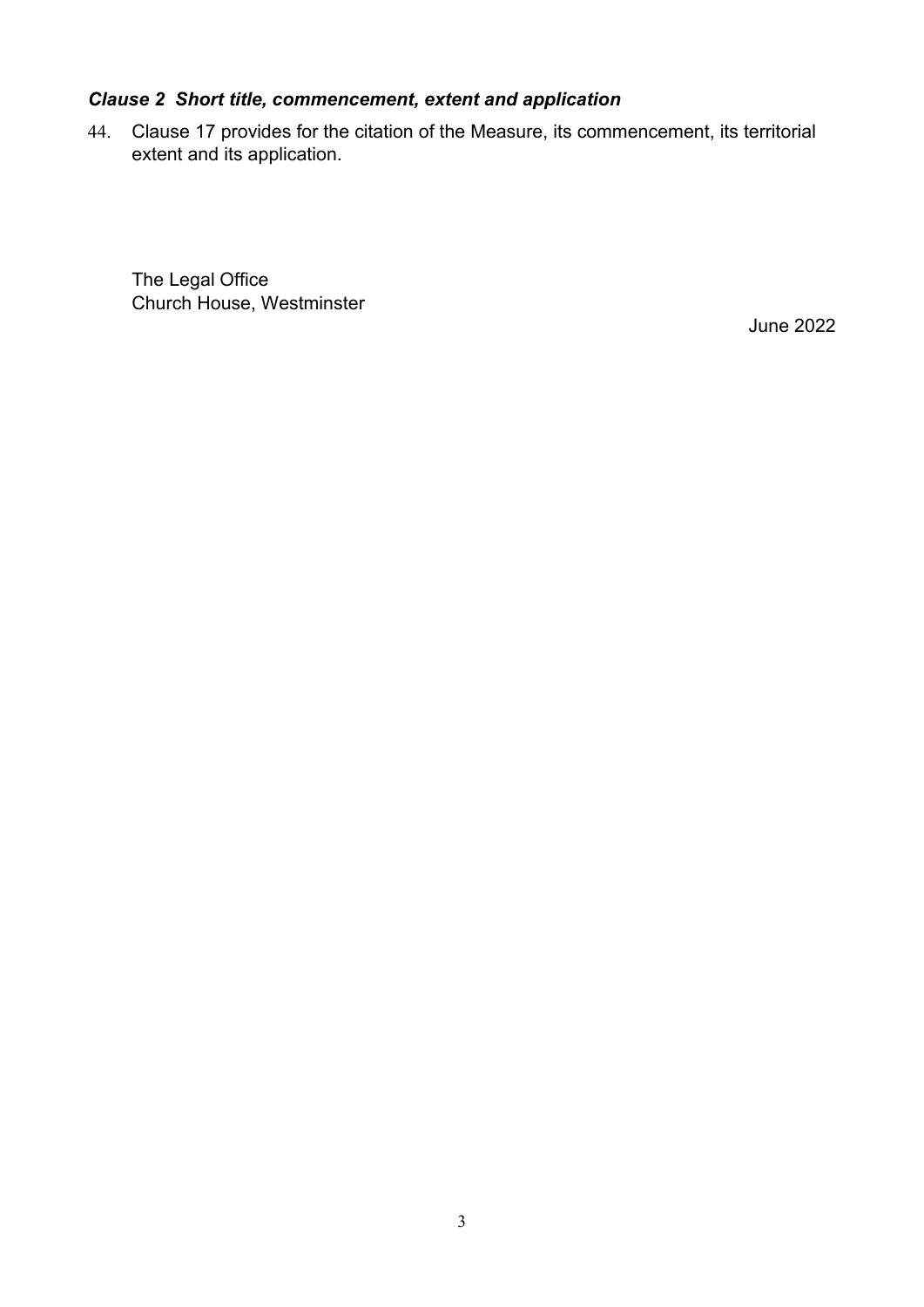# *Clause 2 Short title, commencement, extent and application*

44. Clause 17 provides for the citation of the Measure, its commencement, its territorial extent and its application.

The Legal Office Church House, Westminster

June 2022